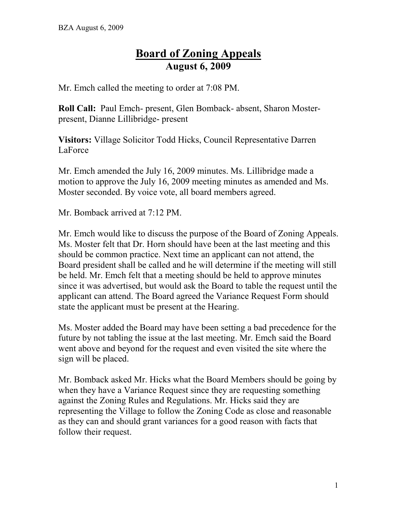## **Board of Zoning Appeals August 6, 2009**

Mr. Emch called the meeting to order at 7:08 PM.

**Roll Call:** Paul Emch- present, Glen Bomback- absent, Sharon Mosterpresent, Dianne Lillibridge- present

**Visitors:** Village Solicitor Todd Hicks, Council Representative Darren LaForce

Mr. Emch amended the July 16, 2009 minutes. Ms. Lillibridge made a motion to approve the July 16, 2009 meeting minutes as amended and Ms. Moster seconded. By voice vote, all board members agreed.

Mr. Bomback arrived at 7:12 PM.

Mr. Emch would like to discuss the purpose of the Board of Zoning Appeals. Ms. Moster felt that Dr. Horn should have been at the last meeting and this should be common practice. Next time an applicant can not attend, the Board president shall be called and he will determine if the meeting will still be held. Mr. Emch felt that a meeting should be held to approve minutes since it was advertised, but would ask the Board to table the request until the applicant can attend. The Board agreed the Variance Request Form should state the applicant must be present at the Hearing.

Ms. Moster added the Board may have been setting a bad precedence for the future by not tabling the issue at the last meeting. Mr. Emch said the Board went above and beyond for the request and even visited the site where the sign will be placed.

Mr. Bomback asked Mr. Hicks what the Board Members should be going by when they have a Variance Request since they are requesting something against the Zoning Rules and Regulations. Mr. Hicks said they are representing the Village to follow the Zoning Code as close and reasonable as they can and should grant variances for a good reason with facts that follow their request.